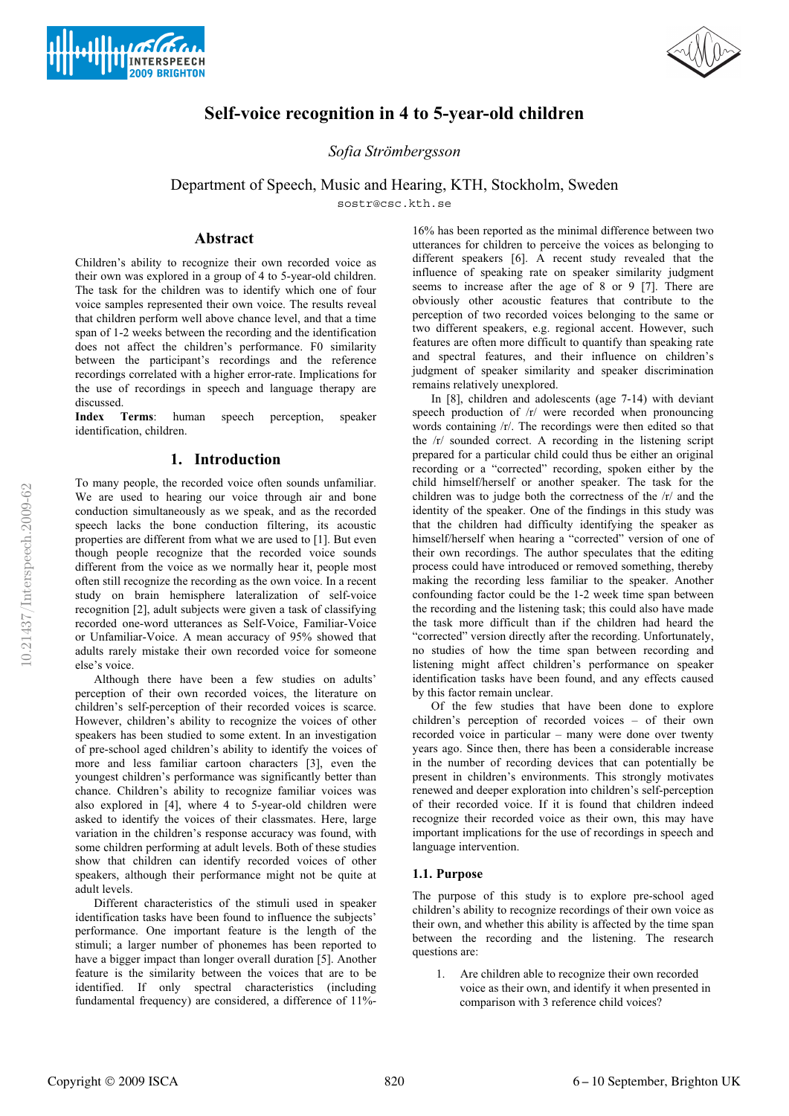



# **Self-voice recognition in 4 to 5-year-old children**

*Sofia Strömbergsson*

Department of Speech, Music and Hearing, KTH, Stockholm, Sweden

sostr@csc.kth.se

# **Abstract**

Children's ability to recognize their own recorded voice as their own was explored in a group of 4 to 5-year-old children. The task for the children was to identify which one of four voice samples represented their own voice. The results reveal that children perform well above chance level, and that a time span of 1-2 weeks between the recording and the identification does not affect the children's performance. F0 similarity between the participant's recordings and the reference recordings correlated with a higher error-rate. Implications for the use of recordings in speech and language therapy are discussed.

**Index Terms**: human speech perception, speaker identification, children.

# **1. Introduction**

To many people, the recorded voice often sounds unfamiliar. We are used to hearing our voice through air and bone conduction simultaneously as we speak, and as the recorded speech lacks the bone conduction filtering, its acoustic properties are different from what we are used to [1]. But even though people recognize that the recorded voice sounds different from the voice as we normally hear it, people most often still recognize the recording as the own voice. In a recent study on brain hemisphere lateralization of self-voice recognition [2], adult subjects were given a task of classifying recorded one-word utterances as Self-Voice, Familiar-Voice or Unfamiliar-Voice. A mean accuracy of 95% showed that adults rarely mistake their own recorded voice for someone else's voice.

Although there have been a few studies on adults' perception of their own recorded voices, the literature on children's self-perception of their recorded voices is scarce. However, children's ability to recognize the voices of other speakers has been studied to some extent. In an investigation of pre-school aged children's ability to identify the voices of more and less familiar cartoon characters [3], even the youngest children's performance was significantly better than chance. Children's ability to recognize familiar voices was also explored in [4], where 4 to 5-year-old children were asked to identify the voices of their classmates. Here, large variation in the children's response accuracy was found, with some children performing at adult levels. Both of these studies show that children can identify recorded voices of other speakers, although their performance might not be quite at adult levels.

Different characteristics of the stimuli used in speaker identification tasks have been found to influence the subjects' performance. One important feature is the length of the stimuli; a larger number of phonemes has been reported to have a bigger impact than longer overall duration [5]. Another feature is the similarity between the voices that are to be identified. If only spectral characteristics (including fundamental frequency) are considered, a difference of 11%- 16% has been reported as the minimal difference between two utterances for children to perceive the voices as belonging to different speakers [6]. A recent study revealed that the influence of speaking rate on speaker similarity judgment seems to increase after the age of 8 or 9 [7]. There are obviously other acoustic features that contribute to the perception of two recorded voices belonging to the same or two different speakers, e.g. regional accent. However, such features are often more difficult to quantify than speaking rate and spectral features, and their influence on children's judgment of speaker similarity and speaker discrimination remains relatively unexplored.

In [8], children and adolescents (age 7-14) with deviant speech production of  $/r$  were recorded when pronouncing words containing /r/. The recordings were then edited so that the /r/ sounded correct. A recording in the listening script prepared for a particular child could thus be either an original recording or a "corrected" recording, spoken either by the child himself/herself or another speaker. The task for the children was to judge both the correctness of the /r/ and the identity of the speaker. One of the findings in this study was that the children had difficulty identifying the speaker as himself/herself when hearing a "corrected" version of one of their own recordings. The author speculates that the editing process could have introduced or removed something, thereby making the recording less familiar to the speaker. Another confounding factor could be the 1-2 week time span between the recording and the listening task; this could also have made the task more difficult than if the children had heard the "corrected" version directly after the recording. Unfortunately, no studies of how the time span between recording and listening might affect children's performance on speaker identification tasks have been found, and any effects caused by this factor remain unclear.

Of the few studies that have been done to explore children's perception of recorded voices – of their own recorded voice in particular – many were done over twenty years ago. Since then, there has been a considerable increase in the number of recording devices that can potentially be present in children's environments. This strongly motivates renewed and deeper exploration into children's self-perception of their recorded voice. If it is found that children indeed recognize their recorded voice as their own, this may have important implications for the use of recordings in speech and language intervention.

## **1.1. Purpose**

The purpose of this study is to explore pre-school aged children's ability to recognize recordings of their own voice as their own, and whether this ability is affected by the time span between the recording and the listening. The research questions are:

1. Are children able to recognize their own recorded voice as their own, and identify it when presented in comparison with 3 reference child voices?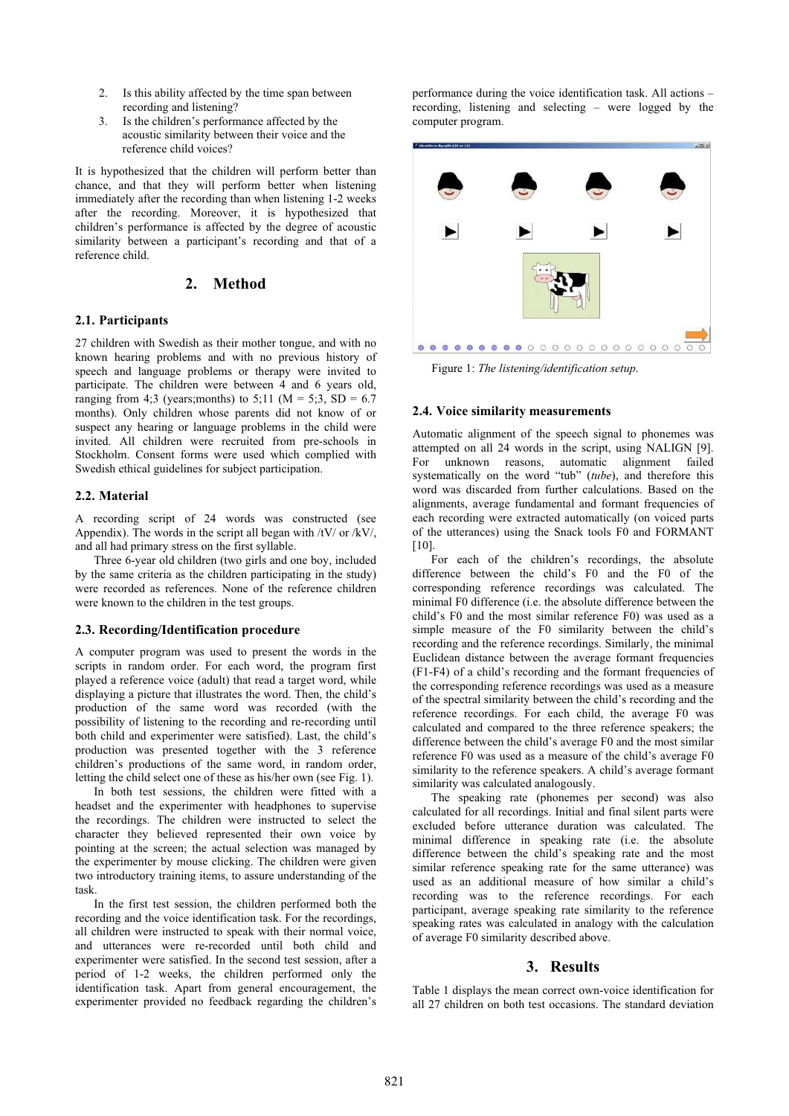- 2. Is this ability affected by the time span between recording and listening?
- 3. Is the children's performance affected by the acoustic similarity between their voice and the reference child voices?

It is hypothesized that the children will perform better than chance, and that they will perform better when listening immediately after the recording than when listening 1-2 weeks after the recording. Moreover, it is hypothesized that children's performance is affected by the degree of acoustic similarity between a participant's recording and that of a reference child.

# **2. Method**

#### **2.1. Participants**

27 children with Swedish as their mother tongue, and with no known hearing problems and with no previous history of speech and language problems or therapy were invited to participate. The children were between 4 and 6 years old, ranging from 4;3 (years; months) to 5;11 ( $M = 5$ ;3, SD = 6.7 months). Only children whose parents did not know of or suspect any hearing or language problems in the child were invited. All children were recruited from pre-schools in Stockholm. Consent forms were used which complied with Swedish ethical guidelines for subject participation.

#### **2.2. Material**

A recording script of 24 words was constructed (see Appendix). The words in the script all began with  $\frac{1}{\text{V}}$  or  $\frac{1}{\text{V}}$ . and all had primary stress on the first syllable.

Three 6-year old children (two girls and one boy, included by the same criteria as the children participating in the study) were recorded as references. None of the reference children were known to the children in the test groups.

### **2.3. Recording/Identification procedure**

A computer program was used to present the words in the scripts in random order. For each word, the program first played a reference voice (adult) that read a target word, while displaying a picture that illustrates the word. Then, the child's production of the same word was recorded (with the possibility of listening to the recording and re-recording until both child and experimenter were satisfied). Last, the child's production was presented together with the 3 reference children's productions of the same word, in random order, letting the child select one of these as his/her own (see Fig. 1).

In both test sessions, the children were fitted with a headset and the experimenter with headphones to supervise the recordings. The children were instructed to select the character they believed represented their own voice by pointing at the screen; the actual selection was managed by the experimenter by mouse clicking. The children were given two introductory training items, to assure understanding of the task.

In the first test session, the children performed both the recording and the voice identification task. For the recordings, all children were instructed to speak with their normal voice, and utterances were re-recorded until both child and experimenter were satisfied. In the second test session, after a period of 1-2 weeks, the children performed only the identification task. Apart from general encouragement, the experimenter provided no feedback regarding the children's performance during the voice identification task. All actions – recording, listening and selecting – were logged by the computer program.



Figure 1: *The listening/identification setup*.

#### **2.4. Voice similarity measurements**

Automatic alignment of the speech signal to phonemes was attempted on all 24 words in the script, using NALIGN [9]. For unknown reasons, automatic alignment failed systematically on the word "tub" (*tube*), and therefore this word was discarded from further calculations. Based on the alignments, average fundamental and formant frequencies of each recording were extracted automatically (on voiced parts of the utterances) using the Snack tools F0 and FORMANT [10].

For each of the children's recordings, the absolute difference between the child's F0 and the F0 of the corresponding reference recordings was calculated. The minimal F0 difference (i.e. the absolute difference between the child's F0 and the most similar reference F0) was used as a simple measure of the F0 similarity between the child's recording and the reference recordings. Similarly, the minimal Euclidean distance between the average formant frequencies (F1-F4) of a child's recording and the formant frequencies of the corresponding reference recordings was used as a measure of the spectral similarity between the child's recording and the reference recordings. For each child, the average F0 was calculated and compared to the three reference speakers; the difference between the child's average F0 and the most similar reference F0 was used as a measure of the child's average F0 similarity to the reference speakers. A child's average formant similarity was calculated analogously.

The speaking rate (phonemes per second) was also calculated for all recordings. Initial and final silent parts were excluded before utterance duration was calculated. The minimal difference in speaking rate (i.e. the absolute difference between the child's speaking rate and the most similar reference speaking rate for the same utterance) was used as an additional measure of how similar a child's recording was to the reference recordings. For each participant, average speaking rate similarity to the reference speaking rates was calculated in analogy with the calculation of average F0 similarity described above.

## **3. Results**

Table 1 displays the mean correct own-voice identification for all 27 children on both test occasions. The standard deviation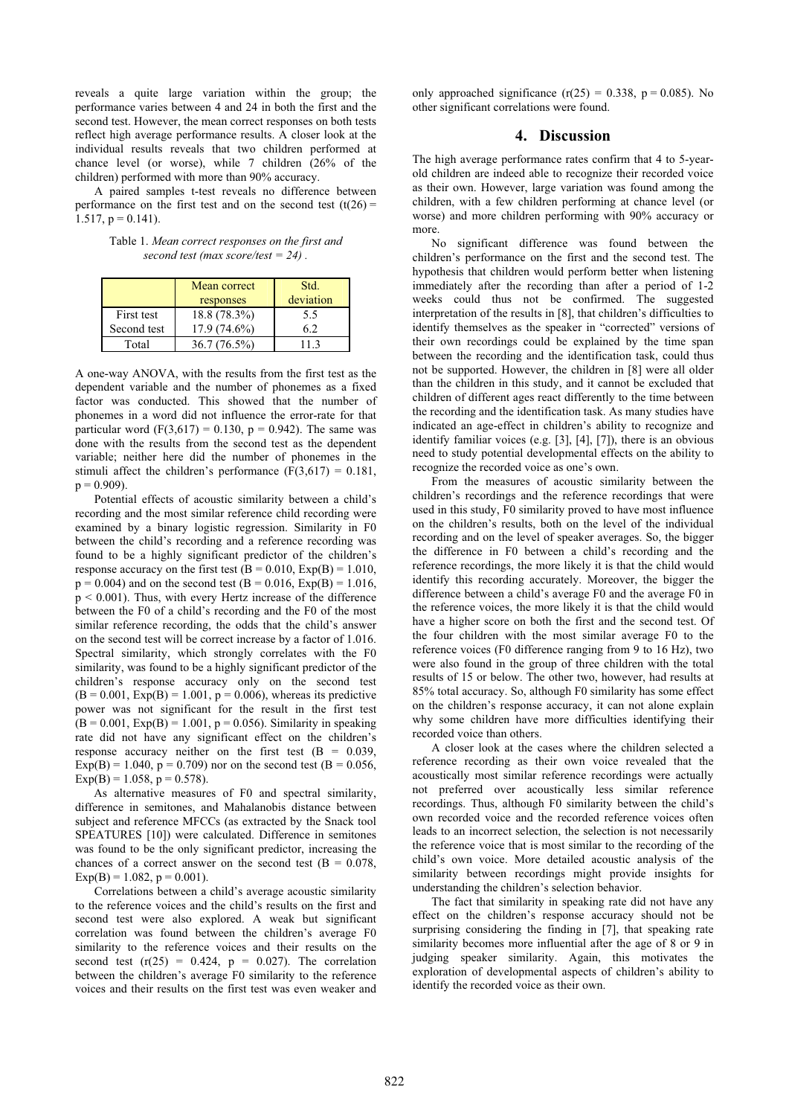reveals a quite large variation within the group; the performance varies between 4 and 24 in both the first and the second test. However, the mean correct responses on both tests reflect high average performance results. A closer look at the individual results reveals that two children performed at chance level (or worse), while 7 children (26% of the children) performed with more than 90% accuracy.

A paired samples t-test reveals no difference between performance on the first test and on the second test  $(t(26) =$  $1.517$ ,  $p = 0.141$ ).

Table 1. *Mean correct responses on the first and second test (max score/test = 24) .* 

|             | Mean correct<br>responses | Std.<br>deviation |
|-------------|---------------------------|-------------------|
| First test  | 18.8 (78.3%)              | 5.5               |
| Second test | $17.9(74.6\%)$            | 6.2               |
| Total       | 36.7(76.5%)               | 11 3              |

A one-way ANOVA, with the results from the first test as the dependent variable and the number of phonemes as a fixed factor was conducted. This showed that the number of phonemes in a word did not influence the error-rate for that particular word  $(F(3,617) = 0.130, p = 0.942)$ . The same was done with the results from the second test as the dependent variable; neither here did the number of phonemes in the stimuli affect the children's performance  $(F(3,617) = 0.181,$  $p = 0.909$ ).

Potential effects of acoustic similarity between a child's recording and the most similar reference child recording were examined by a binary logistic regression. Similarity in F0 between the child's recording and a reference recording was found to be a highly significant predictor of the children's response accuracy on the first test  $(B = 0.010, Exp(B) = 1.010,$  $p = 0.004$ ) and on the second test (B = 0.016, Exp(B) = 1.016,  $p < 0.001$ ). Thus, with every Hertz increase of the difference between the F0 of a child's recording and the F0 of the most similar reference recording, the odds that the child's answer on the second test will be correct increase by a factor of 1.016. Spectral similarity, which strongly correlates with the F0 similarity, was found to be a highly significant predictor of the children's response accuracy only on the second test  $(B = 0.001, Exp(B) = 1.001, p = 0.006)$ , whereas its predictive power was not significant for the result in the first test  $(B = 0.001, Exp(B) = 1.001, p = 0.056)$ . Similarity in speaking rate did not have any significant effect on the children's response accuracy neither on the first test  $(B = 0.039,$  $Exp(B) = 1.040$ ,  $p = 0.709$ ) nor on the second test (B = 0.056,  $Exp(B) = 1.058$ ,  $p = 0.578$ ).

As alternative measures of F0 and spectral similarity, difference in semitones, and Mahalanobis distance between subject and reference MFCCs (as extracted by the Snack tool SPEATURES [10]) were calculated. Difference in semitones was found to be the only significant predictor, increasing the chances of a correct answer on the second test  $(B = 0.078,$  $Exp(B) = 1.082$ ,  $p = 0.001$ ).

Correlations between a child's average acoustic similarity to the reference voices and the child's results on the first and second test were also explored. A weak but significant correlation was found between the children's average F0 similarity to the reference voices and their results on the second test  $(r(25) = 0.424, p = 0.027)$ . The correlation between the children's average F0 similarity to the reference voices and their results on the first test was even weaker and only approached significance  $(r(25) = 0.338, p = 0.085)$ . No other significant correlations were found.

## **4. Discussion**

The high average performance rates confirm that 4 to 5-yearold children are indeed able to recognize their recorded voice as their own. However, large variation was found among the children, with a few children performing at chance level (or worse) and more children performing with 90% accuracy or more.

No significant difference was found between the children's performance on the first and the second test. The hypothesis that children would perform better when listening immediately after the recording than after a period of 1-2 weeks could thus not be confirmed. The suggested interpretation of the results in [8], that children's difficulties to identify themselves as the speaker in "corrected" versions of their own recordings could be explained by the time span between the recording and the identification task, could thus not be supported. However, the children in [8] were all older than the children in this study, and it cannot be excluded that children of different ages react differently to the time between the recording and the identification task. As many studies have indicated an age-effect in children's ability to recognize and identify familiar voices (e.g. [3], [4], [7]), there is an obvious need to study potential developmental effects on the ability to recognize the recorded voice as one's own.

From the measures of acoustic similarity between the children's recordings and the reference recordings that were used in this study, F0 similarity proved to have most influence on the children's results, both on the level of the individual recording and on the level of speaker averages. So, the bigger the difference in F0 between a child's recording and the reference recordings, the more likely it is that the child would identify this recording accurately. Moreover, the bigger the difference between a child's average F0 and the average F0 in the reference voices, the more likely it is that the child would have a higher score on both the first and the second test. Of the four children with the most similar average F0 to the reference voices (F0 difference ranging from 9 to 16 Hz), two were also found in the group of three children with the total results of 15 or below. The other two, however, had results at 85% total accuracy. So, although F0 similarity has some effect on the children's response accuracy, it can not alone explain why some children have more difficulties identifying their recorded voice than others.

A closer look at the cases where the children selected a reference recording as their own voice revealed that the acoustically most similar reference recordings were actually not preferred over acoustically less similar reference recordings. Thus, although F0 similarity between the child's own recorded voice and the recorded reference voices often leads to an incorrect selection, the selection is not necessarily the reference voice that is most similar to the recording of the child's own voice. More detailed acoustic analysis of the similarity between recordings might provide insights for understanding the children's selection behavior.

The fact that similarity in speaking rate did not have any effect on the children's response accuracy should not be surprising considering the finding in [7], that speaking rate similarity becomes more influential after the age of 8 or 9 in judging speaker similarity. Again, this motivates the exploration of developmental aspects of children's ability to identify the recorded voice as their own.